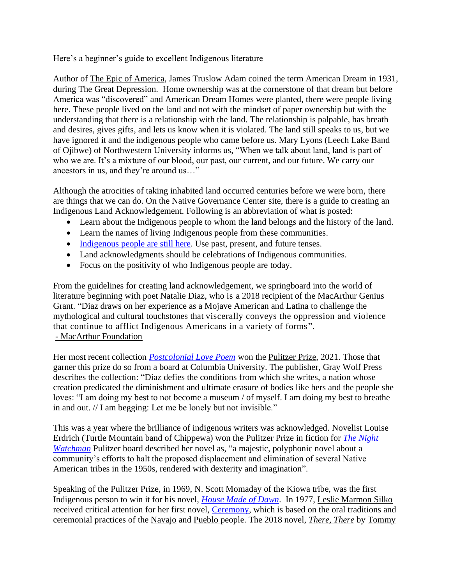Here's a beginner's guide to excellent Indigenous literature

Author of [The Epic of America,](http://www.columbia.edu/cu/lweb/archival/collections/ldpd_4078384/) James Truslow Adam coined the term American Dream in 1931, during The Great Depression. Home ownership was at the cornerstone of that dream but before America was "discovered" and American Dream Homes were planted, there were people living here. These people lived on the land and not with the mindset of paper ownership but with the understanding that there is a relationship with the land. The relationship is palpable, has breath and desires, gives gifts, and lets us know when it is violated. The land still speaks to us, but we have ignored it and the indigenous people who came before us. Mary Lyons (Leech Lake Band of Ojibwe) of Northwestern University informs us, "When we talk about land, land is part of who we are. It's a mixture of our blood, our past, our current, and our future. We carry our ancestors in us, and they're around us…"

Although the atrocities of taking inhabited land occurred centuries before we were born, there are things that we can do. On the [Native Governance Center](https://nativegov.org/news/a-guide-to-indigenous-land-acknowledgment/) site, there is a guide to creating an [Indigenous Land Acknowledgement.](https://www.californiansforthearts.org/antiracism-edit/2020/11/13/a-guide-to-indigenous-land-acknowledgment) Following is an abbreviation of what is posted:

- Learn about the Indigenous people to whom the land belongs and the history of the land.
- Learn the names of living Indigenous people from these communities.
- [Indigenous people are still here.](https://illuminatives.org/wp-content/uploads/2018/04/MessageGuide-Allies-screen-spreads.pdf) Use past, present, and future tenses.
- Land acknowledgments should be celebrations of Indigenous communities.
- Focus on the positivity of who Indigenous people are today.

From the guidelines for creating land acknowledgement, we springboard into the world of literature beginning with poet [Natalie Diaz,](https://www.poetryfoundation.org/poets/natalie-diaz) who is a 2018 recipient of the [MacArthur Genius](https://www.macfound.org/programs/fellows/strategy)  [Grant.](https://www.macfound.org/programs/fellows/strategy) "Diaz draws on her experience as a Mojave American and Latina to challenge the mythological and cultural touchstones that viscerally conveys the oppression and violence that continue to afflict Indigenous Americans in a variety of forms ". *-* [MacArthur Foundation](https://www.macfound.org/fellows/class-of-2018/natalie-diaz)

Her most recent collection *[Postcolonial Love Poem](https://www.graywolfpress.org/books/postcolonial-love-poem)* won the [Pulitzer Prize,](https://www.pulitzer.org/page/2021-plan-award) 2021. Those that garner this prize do so from a board at Columbia University. The publisher, Gray Wolf Press describes the collection: "Diaz defies the conditions from which she writes, a nation whose creation predicated the diminishment and ultimate erasure of bodies like hers and the people she loves: "I am doing my best to not become a museum / of myself. I am doing my best to breathe in and out. // I am begging: Let me be lonely but not invisible."

This was a year where the brilliance of indigenous writers was acknowledged. Novelist [Louise](https://www.poetryfoundation.org/poets/louise-erdrich)  [Erdrich](https://www.poetryfoundation.org/poets/louise-erdrich) (Turtle Mountain band of Chippewa) won the Pulitzer Prize in fiction for *[The Night](https://www.pulitzer.org/winners/louise-erdrich)  [Watchman](https://www.pulitzer.org/winners/louise-erdrich)* Pulitzer board described her novel as, "a majestic, polyphonic novel about a community's efforts to halt the proposed displacement and elimination of several Native American tribes in the 1950s, rendered with dexterity and imagination".

Speaking of the Pulitzer Prize, in 1969, [N. Scott Momaday](https://poets.org/poet/n-scott-momaday) of the [Kiowa tribe,](https://kiowatribe.org/) was the first Indigenous person to win it for his novel, *[House Made of Dawn](https://www.theparisreview.org/blog/celebrating-n-scott-momaday/)*. In 1977, [Leslie Marmon Silko](https://www.poetryfoundation.org/poets/leslie-marmon-silko) received critical attention for her first novel, [Ceremony,](https://www.kirkusreviews.com/book-reviews/a/leslie-marmon-silko-2/ceremony/) which is based on the oral traditions and ceremonial practices of the [Navajo](https://www.navajo-nsn.gov/history.htm) and [Pueblo](https://www.newworldencyclopedia.org/entry/Pueblo_Indians) people. The 2018 novel, *[There, There](https://www.penguinrandomhouse.com/books/563403/there-there-by-tommy-orange/)* by [Tommy](https://www.prhspeakers.com/speaker/tommy-orange)